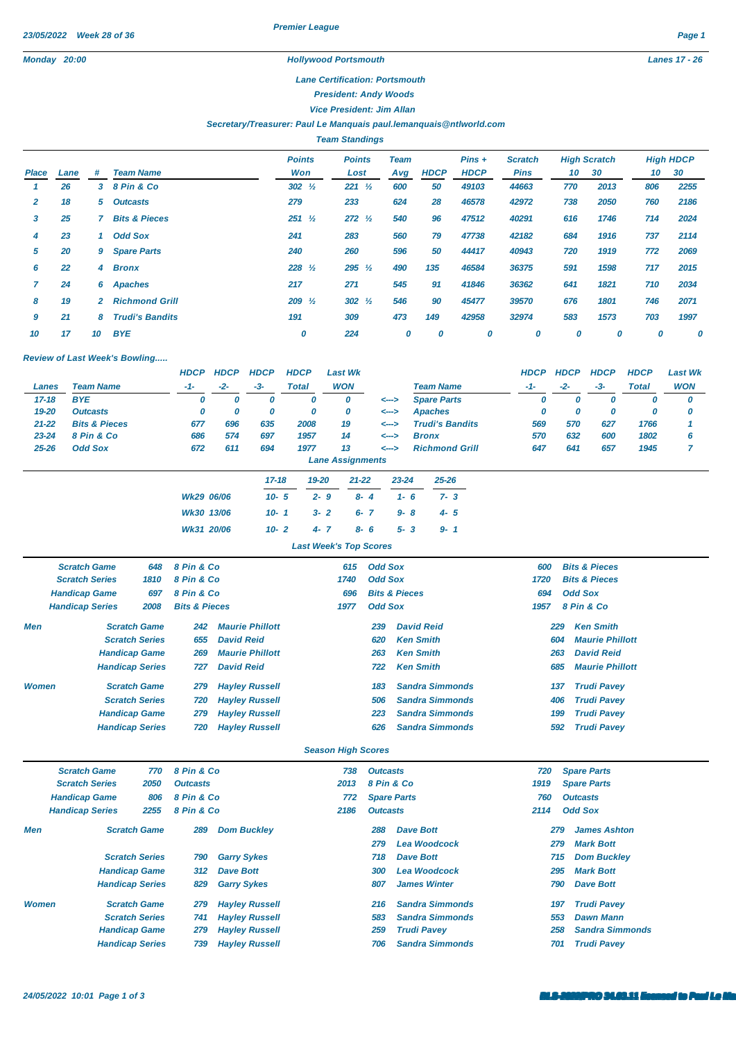*Premier League*

## *Lane Certification: Portsmouth*

*President: Andy Woods*

*Vice President: Jim Allan*

## *Secretary/Treasurer: Paul Le Manquais [paul.lemanquais@ntlworld.com](mailto:paul.lemanquais@ntlworld.com)*

*Team Standings*

|       |      |              |                          | <b>Points</b>     | <b>Points</b>     | <b>Team</b> |             | $Pins +$    | <b>Scratch</b> |     | <b>High Scratch</b> |     | <b>High HDCP</b> |
|-------|------|--------------|--------------------------|-------------------|-------------------|-------------|-------------|-------------|----------------|-----|---------------------|-----|------------------|
| Place | Lane | #            | <b>Team Name</b>         | Won               | Lost              | Avg         | <b>HDCP</b> | <b>HDCP</b> | <b>Pins</b>    | 10  | 30                  | 10  | 30               |
|       | 26   | 3            | 8 Pin & Co               | $302 \frac{1}{2}$ | $221 \frac{1}{2}$ | 600         | 50          | 49103       | 44663          | 770 | 2013                | 806 | 2255             |
| 2     | 18   | 5            | <b>Outcasts</b>          | 279               | 233               | 624         | 28          | 46578       | 42972          | 738 | 2050                | 760 | 2186             |
| 3     | 25   |              | <b>Bits &amp; Pieces</b> | $251 \frac{1}{2}$ | $272 \frac{1}{2}$ | 540         | 96          | 47512       | 40291          | 616 | 1746                | 714 | 2024             |
| 4     | 23   |              | <b>Odd Sox</b>           | 241               | 283               | 560         | 79          | 47738       | 42182          | 684 | 1916                | 737 | 2114             |
| 5     | 20   | 9            | <b>Spare Parts</b>       | 240               | 260               | 596         | 50          | 44417       | 40943          | 720 | 1919                | 772 | 2069             |
| 6     | 22   | 4            | <b>Bronx</b>             | $228 \frac{1}{2}$ | $295 \frac{1}{2}$ | 490         | 135         | 46584       | 36375          | 591 | 1598                | 717 | 2015             |
|       | 24   | 6            | <b>Apaches</b>           | 217               | 271               | 545         | 91          | 41846       | 36362          | 641 | 1821                | 710 | 2034             |
| 8     | 19   | $\mathbf{2}$ | <b>Richmond Grill</b>    | $209\frac{1}{2}$  | $302 \frac{1}{2}$ | 546         | 90          | 45477       | 39570          | 676 | 1801                | 746 | 2071             |
| 9     | 21   | 8            | <b>Trudi's Bandits</b>   | 191               | 309               | 473         | 149         | 42958       | 32974          | 583 | 1573                | 703 | 1997             |
| 10    | 17   | 10           | <b>BYE</b>               | 0                 | 224               | 0           | 0           | 0           | 0              | 0   | 0                   | 0   | 0                |

## *Review of Last Week's Bowling.....*

|           |                          | <b>HDCP</b> | <b>HDCP</b> | <b>HDCP</b> | <b>HDCP</b>  | <b>Last Wk</b>     |                         |                        |                        |         | <b>HDCP</b> | <b>HDCP</b> | <b>HDCP</b> | <b>HDCP</b>  | <b>Last Wk</b> |
|-----------|--------------------------|-------------|-------------|-------------|--------------|--------------------|-------------------------|------------------------|------------------------|---------|-------------|-------------|-------------|--------------|----------------|
| Lanes     | <b>Team Name</b>         | $-1-$       | $-2-$       | $-3-$       | <b>Total</b> | <b>WON</b>         |                         |                        | <b>Team Name</b>       |         | $-1-$       | $-2-$       | -3-         | <b>Total</b> | <b>WON</b>     |
| $17 - 18$ | <b>BYE</b>               | 0           | 0           | o           | 0            |                    | 0                       | <-->                   | <b>Spare Parts</b>     |         | 0           | O           | 0           | υ            | 0              |
| 19-20     | <b>Outcasts</b>          | 0           | 0           | 0           | 0            |                    | 0                       | <-->                   | Apaches                |         | 0           | 0           | 0           | 0            | 0              |
| $21 - 22$ | <b>Bits &amp; Pieces</b> | 677         | 696         | 635         | 2008         |                    | 19                      | <-->                   | <b>Trudi's Bandits</b> |         | 569         | 570         | 627         | 1766         |                |
| $23 - 24$ | 8 Pin & Co               | 686         | 574         | 697         | 1957         |                    | 14                      | <-->                   | <b>Bronx</b>           |         | 570         | 632         | 600         | 1802         | 6              |
| $25 - 26$ | <b>Odd Sox</b>           | 672         | 611         | 694         | 1977         |                    | 13                      | <--->                  | <b>Richmond Grill</b>  |         | 647         | 641         | 657         | 1945         |                |
|           |                          |             |             |             |              |                    | <b>Lane Assignments</b> |                        |                        |         |             |             |             |              |                |
|           |                          |             |             | $17 - 18$   |              | 19-20<br>$21 - 22$ |                         | $23 - 24$<br>$25 - 26$ |                        |         |             |             |             |              |                |
|           |                          | Wk29 06/06  |             | $10 - 5$    |              | $2 - 9$            | $8 - 4$                 | $1 - 6$                |                        | $7 - 3$ |             |             |             |              |                |
|           |                          | Wk30 13/06  |             | $10 - 1$    |              | $3 - 2$            | $6 - 7$                 |                        | $9 - 8$<br>$4 - 5$     |         |             |             |             |              |                |
|           |                          | Wk31 20/06  |             | $10 - 2$    |              | $4 - 7$            | $8 - 6$                 | $5 - 3$                |                        | $9 - 1$ |             |             |             |              |                |

*Last Week's Top Scores*

|              | <b>Scratch Game</b><br>8 Pin & Co<br>648 |                        |                          |                        | 615  | <b>Odd Sox</b> |                          | 600  | <b>Bits &amp; Pieces</b> |  |
|--------------|------------------------------------------|------------------------|--------------------------|------------------------|------|----------------|--------------------------|------|--------------------------|--|
|              | <b>Scratch Series</b>                    | 1810                   | 8 Pin & Co               |                        | 1740 | <b>Odd Sox</b> |                          | 1720 | <b>Bits &amp; Pieces</b> |  |
|              | <b>Handicap Game</b>                     | 697                    | 8 Pin & Co               |                        | 696  |                | <b>Bits &amp; Pieces</b> | 694  | <b>Odd Sox</b>           |  |
|              | <b>Handicap Series</b><br>2008           |                        | <b>Bits &amp; Pieces</b> |                        | 1977 | <b>Odd Sox</b> |                          | 1957 | 8 Pin & Co               |  |
| Men          |                                          | <b>Scratch Game</b>    | 242                      | <b>Maurie Phillott</b> |      | 239            | <b>David Reid</b>        | 229  | <b>Ken Smith</b>         |  |
|              |                                          | <b>Scratch Series</b>  | 655                      | <b>David Reid</b>      |      | 620            | <b>Ken Smith</b>         | 604  | <b>Maurie Phillott</b>   |  |
|              |                                          | <b>Handicap Game</b>   | 269                      | <b>Maurie Phillott</b> |      | 263            | <b>Ken Smith</b>         | 263  | <b>David Reid</b>        |  |
|              |                                          | <b>Handicap Series</b> | 727                      | <b>David Reid</b>      |      | 722            | <b>Ken Smith</b>         | 685  | <b>Maurie Phillott</b>   |  |
| <b>Women</b> |                                          | <b>Scratch Game</b>    | 279                      | <b>Hayley Russell</b>  |      | 183            | <b>Sandra Simmonds</b>   | 137  | <b>Trudi Pavey</b>       |  |
|              |                                          | <b>Scratch Series</b>  | 720                      | <b>Hayley Russell</b>  |      | 506            | <b>Sandra Simmonds</b>   | 406  | <b>Trudi Pavey</b>       |  |
|              |                                          | <b>Handicap Game</b>   | 279                      | <b>Hayley Russell</b>  |      | 223            | <b>Sandra Simmonds</b>   | 199  | <b>Trudi Pavey</b>       |  |
|              |                                          | <b>Handicap Series</b> | 720                      | <b>Hayley Russell</b>  |      | 626            | <b>Sandra Simmonds</b>   | 592  | <b>Trudi Pavev</b>       |  |

## *Season High Scores*

|              | 8 Pin & Co<br><b>Scratch Game</b><br>770 |                        |                 |                       | 738  | <b>Outcasts</b> |                        | 720  | <b>Spare Parts</b>     |
|--------------|------------------------------------------|------------------------|-----------------|-----------------------|------|-----------------|------------------------|------|------------------------|
|              | <b>Scratch Series</b>                    | 2050                   | <b>Outcasts</b> |                       | 2013 | 8 Pin & Co      |                        | 1919 | <b>Spare Parts</b>     |
|              | <b>Handicap Game</b>                     | 806                    | 8 Pin & Co      |                       | 772  |                 | <b>Spare Parts</b>     | 760  | <b>Outcasts</b>        |
|              | <b>Handicap Series</b>                   |                        | 8 Pin & Co      | 2186                  |      | <b>Outcasts</b> |                        | 2114 | <b>Odd Sox</b>         |
| Men          |                                          | <b>Scratch Game</b>    | 289             | <b>Dom Buckley</b>    |      | 288             | Dave Bott              | 279  | <b>James Ashton</b>    |
|              |                                          |                        |                 |                       |      | 279             | <b>Lea Woodcock</b>    | 279  | <b>Mark Bott</b>       |
|              |                                          | <b>Scratch Series</b>  | 790             | <b>Garry Sykes</b>    |      | 718             | <b>Dave Bott</b>       | 715  | <b>Dom Buckley</b>     |
|              |                                          | <b>Handicap Game</b>   | 312             | <b>Dave Bott</b>      |      | 300             | <b>Lea Woodcock</b>    | 295  | <b>Mark Bott</b>       |
|              |                                          | <b>Handicap Series</b> | 829             | <b>Garry Sykes</b>    |      | 807             | <b>James Winter</b>    | 790  | <b>Dave Bott</b>       |
| <b>Women</b> |                                          | <b>Scratch Game</b>    | 279             | <b>Hayley Russell</b> |      | 216             | <b>Sandra Simmonds</b> | 197  | <b>Trudi Pavey</b>     |
|              |                                          | <b>Scratch Series</b>  | 741             | <b>Hayley Russell</b> |      | 583             | <b>Sandra Simmonds</b> | 553  | <b>Dawn Mann</b>       |
|              |                                          | <b>Handicap Game</b>   | 279             | <b>Hayley Russell</b> |      | 259             | <b>Trudi Pavey</b>     | 258  | <b>Sandra Simmonds</b> |
|              |                                          | <b>Handicap Series</b> | 739             | <b>Hayley Russell</b> |      | 706             | <b>Sandra Simmonds</b> | 701  | <b>Trudi Pavev</b>     |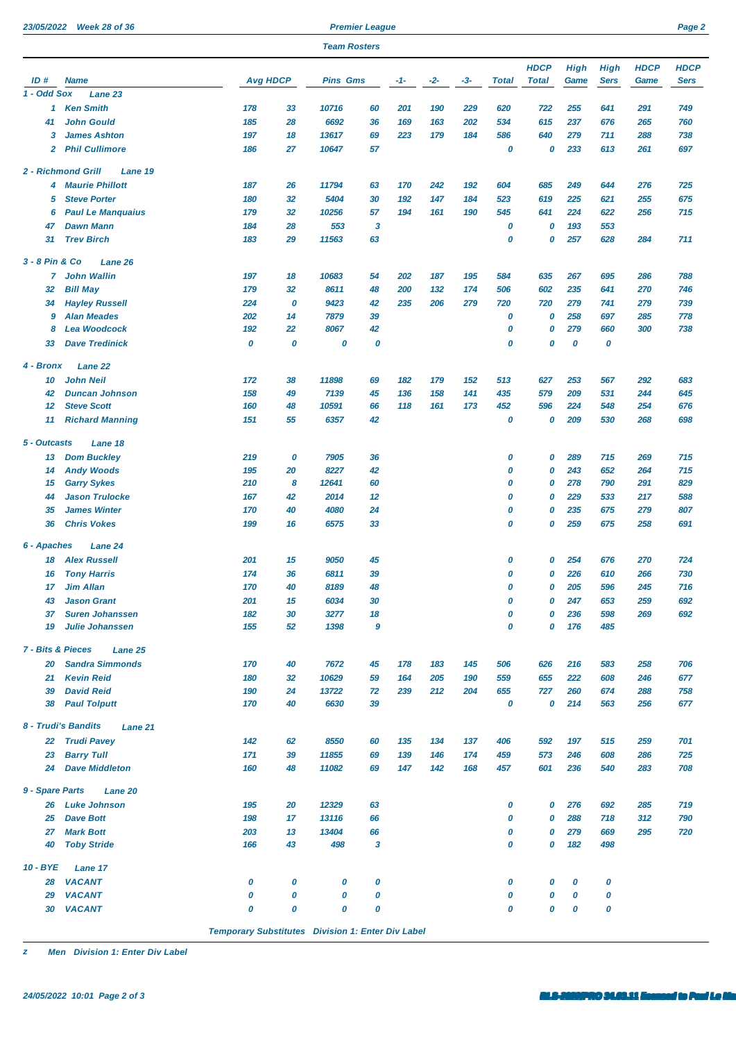| 23/05/2022            | <b>Week 28 of 36</b>                                 |                 |          |                     | <b>Premier League</b> |            |            |            |              |              |             |             |             | Page 2      |
|-----------------------|------------------------------------------------------|-----------------|----------|---------------------|-----------------------|------------|------------|------------|--------------|--------------|-------------|-------------|-------------|-------------|
|                       |                                                      |                 |          | <b>Team Rosters</b> |                       |            |            |            |              |              |             |             |             |             |
|                       |                                                      |                 |          |                     |                       |            |            |            |              | <b>HDCP</b>  | <b>High</b> | <b>High</b> | <b>HDCP</b> | <b>HDCP</b> |
| ID#                   | <b>Name</b>                                          | <b>Avg HDCP</b> |          | <b>Pins Gms</b>     |                       | -1-        | -2-        | -3-        | <b>Total</b> | <b>Total</b> | Game        | <b>Sers</b> | Game        | <b>Sers</b> |
| 1 - Odd Sox           | Lane 23                                              |                 |          |                     |                       |            |            |            |              |              |             |             |             |             |
| 1                     | <b>Ken Smith</b>                                     | 178             | 33       | 10716               | 60                    | 201        | 190        | 229        | 620          | 722          | 255         | 641         | 291         | 749         |
| 41                    | <b>John Gould</b>                                    | 185             | 28       | 6692                | 36                    | 169        | 163        | 202        | 534          | 615          | 237         | 676         | 265         | 760         |
| 3                     | <b>James Ashton</b>                                  | 197             | 18       | 13617               | 69                    | 223        | 179        | 184        | 586          | 640          | 279         | 711         | 288         | 738         |
| 2                     | <b>Phil Cullimore</b>                                | 186             | 27       | 10647               | 57                    |            |            |            | 0            | 0            | 233         | 613         | 261         | 697         |
|                       | 2 - Richmond Grill<br>Lane 19                        |                 |          |                     |                       |            |            |            |              |              |             |             |             |             |
| 4                     | <b>Maurie Phillott</b>                               | 187             | 26       | 11794               | 63                    | 170        | 242        | 192        | 604          | 685          | 249         | 644         | 276         | 725         |
| 5                     | <b>Steve Porter</b>                                  | 180             | 32       | 5404                | 30                    | 192        | 147        | 184        | 523          | 619          | 225         | 621         | 255         | 675         |
| 6                     | <b>Paul Le Manquaius</b>                             | 179             | 32       | 10256               | 57                    | 194        | 161        | 190        | 545          | 641          | 224         | 622         | 256         | 715         |
| 47                    | <b>Dawn Mann</b>                                     | 184             | 28       | 553                 | 3                     |            |            |            | 0            | 0            | 193         | 553         |             |             |
| 31                    | <b>Trev Birch</b>                                    | 183             | 29       | 11563               | 63                    |            |            |            | 0            | 0            | 257         | 628         | 284         | 711         |
| 3 - 8 Pin & Co        | Lane 26                                              |                 |          |                     |                       |            |            |            |              |              |             |             |             |             |
| 7                     | <b>John Wallin</b>                                   | 197             | 18       | 10683               | 54                    | 202        | 187        | 195        | 584          | 635          | 267         | 695         | 286         | 788         |
| 32                    | <b>Bill May</b>                                      | 179             | 32       | 8611                | 48                    | 200        | 132        | 174        | 506          | 602          | 235         | 641         | 270         | 746         |
| 34                    | <b>Hayley Russell</b>                                | 224             | 0        | 9423                | 42                    | 235        | 206        | 279        | 720          | 720          | 279         | 741         | 279         | 739         |
| 9                     | <b>Alan Meades</b>                                   | 202             | 14       | 7879                | 39                    |            |            |            | 0            | 0            | 258         | 697         | 285         | 778         |
| 8                     | <b>Lea Woodcock</b>                                  | 192             | 22       | 8067                | 42                    |            |            |            | 0            | 0            | 279         | 660         | 300         | 738         |
| 33                    | <b>Dave Tredinick</b>                                | 0               | 0        | 0                   | 0                     |            |            |            | 0            | 0            | 0           | 0           |             |             |
| 4 - Bronx             | Lane 22                                              |                 |          |                     |                       |            |            |            |              |              |             |             |             |             |
| 10                    | <b>John Neil</b>                                     | 172             | 38       | 11898               | 69                    | 182        | 179        | 152        | 513          | 627          | 253         | 567         | 292         | 683         |
| 42                    | <b>Duncan Johnson</b>                                | 158             | 49       | 7139                | 45                    | 136        | 158        | 141        | 435          | 579          | 209         | 531         | 244         | 645         |
| 12                    | <b>Steve Scott</b>                                   | 160             | 48       | 10591               | 66                    | 118        | 161        | 173        | 452          | 596          | 224         | 548         | 254         | 676         |
| 11                    | <b>Richard Manning</b>                               | 151             | 55       | 6357                | 42                    |            |            |            | 0            | 0            | 209         | 530         | 268         | 698         |
| 5 - Outcasts          | Lane 18                                              |                 |          |                     |                       |            |            |            |              |              |             |             |             |             |
|                       |                                                      | 219             | 0        | 7905                |                       |            |            |            |              | 0            | 289         | 715         | 269         | 715         |
| 13                    | <b>Dom Buckley</b>                                   | 195             | 20       | 8227                | 36<br>42              |            |            |            | 0<br>0       | 0            | 243         | 652         | 264         | 715         |
| 14                    | <b>Andy Woods</b>                                    | 210             | 8        | 12641               | 60                    |            |            |            | 0            | 0            | 278         | 790         | 291         | 829         |
| 15                    | <b>Garry Sykes</b>                                   |                 |          |                     |                       |            |            |            | 0            |              |             |             |             |             |
| 44<br>35              | <b>Jason Trulocke</b><br><b>James Winter</b>         | 167<br>170      | 42<br>40 | 2014<br>4080        | 12<br>24              |            |            |            | 0            | 0<br>0       | 229<br>235  | 533         | 217<br>279  | 588         |
| 36                    | <b>Chris Vokes</b>                                   | 199             | 16       | 6575                | 33                    |            |            |            | 0            | 0            | 259         | 675<br>675  | 258         | 807<br>691  |
| 6 - Apaches           |                                                      |                 |          |                     |                       |            |            |            |              |              |             |             |             |             |
|                       | Lane 24                                              |                 |          |                     |                       |            |            |            |              |              |             |             |             |             |
|                       | <b>18 Alex Russell</b>                               | 201             | 15       | 9050                | 45                    |            |            |            | 0            | 0            | 254         | 676         | 270         | 724         |
|                       | 16 Tony Harris                                       | 174             | 36       | 6811                | 39                    |            |            |            | 0            | 0            | 226         | 610         | 266         | 730         |
| 17                    | <b>Jim Allan</b>                                     | 170             | 40       | 8189                | 48                    |            |            |            | 0            | 0            | 205         | 596         | 245         | 716         |
| 43                    | <b>Jason Grant</b>                                   | 201             | 15       | 6034                | 30                    |            |            |            | 0            | 0            | 247         | 653         | 259         | 692         |
| 37                    | <b>Suren Johanssen</b>                               | 182             | 30       | 3277                | 18                    |            |            |            | 0<br>0       | 0<br>0       | 236         | 598         | 269         | 692         |
| 19                    | <b>Julie Johanssen</b>                               | 155             | 52       | 1398                | 9                     |            |            |            |              |              | 176         | 485         |             |             |
| 7 - Bits & Pieces     | Lane 25                                              |                 |          |                     |                       |            |            |            |              |              |             |             |             |             |
| 20                    | <b>Sandra Simmonds</b>                               | 170             | 40       | 7672                | 45                    | 178        | 183        | 145        | 506          | 626          | 216         | 583         | 258         | 706         |
| 21                    | <b>Kevin Reid</b>                                    | 180             | 32       | 10629               | 59                    | 164        | 205        | 190        | 559          | 655          | 222         | 608         | 246         | 677         |
| 39<br>38              | <b>David Reid</b><br><b>Paul Tolputt</b>             | 190<br>170      | 24<br>40 | 13722<br>6630       | 72<br>39              | 239        | 212        | 204        | 655<br>0     | 727<br>0     | 260<br>214  | 674<br>563  | 288<br>256  | 758<br>677  |
|                       |                                                      |                 |          |                     |                       |            |            |            |              |              |             |             |             |             |
|                       | 8 - Trudi's Bandits<br>Lane 21<br><b>Trudi Pavey</b> |                 |          |                     |                       |            |            |            |              |              |             |             |             |             |
| 22                    |                                                      | 142             | 62       | 8550                | 60                    | 135        | 134        | 137        | 406          | 592          | 197         | 515         | 259         | 701         |
| 23<br>24              | <b>Barry Tull</b><br><b>Dave Middleton</b>           | 171<br>160      | 39<br>48 | 11855<br>11082      | 69<br>69              | 139<br>147 | 146<br>142 | 174<br>168 | 459<br>457   | 573<br>601   | 246<br>236  | 608<br>540  | 286<br>283  | 725<br>708  |
|                       |                                                      |                 |          |                     |                       |            |            |            |              |              |             |             |             |             |
| 9 - Spare Parts<br>26 | Lane 20<br><b>Luke Johnson</b>                       | 195             | 20       | 12329               | 63                    |            |            |            | 0            | 0            | 276         | 692         | 285         | 719         |
| 25                    | <b>Dave Bott</b>                                     | 198             | 17       | 13116               | 66                    |            |            |            | 0            | 0            | 288         | 718         | 312         | 790         |
| 27                    | <b>Mark Bott</b>                                     | 203             | 13       | 13404               | 66                    |            |            |            | 0            | 0            | 279         | 669         | 295         | 720         |
| 40                    | <b>Toby Stride</b>                                   | 166             | 43       | 498                 | 3                     |            |            |            | 0            | 0            | 182         | 498         |             |             |
| 10 - BYE              |                                                      |                 |          |                     |                       |            |            |            |              |              |             |             |             |             |
|                       | Lane 17<br>28 VACANT                                 | 0               | 0        | 0                   | 0                     |            |            |            | 0            | 0            | 0           | 0           |             |             |
|                       |                                                      |                 |          |                     |                       |            |            |            |              |              |             |             |             |             |

*Temporary Substitutes Division 1: Enter Div Label*

 *VACANT 0 0 0 0 0 0 0 0 VACANT 0 0 0 0 0 0 0 0*

*z Men Division 1: Enter Div Label*